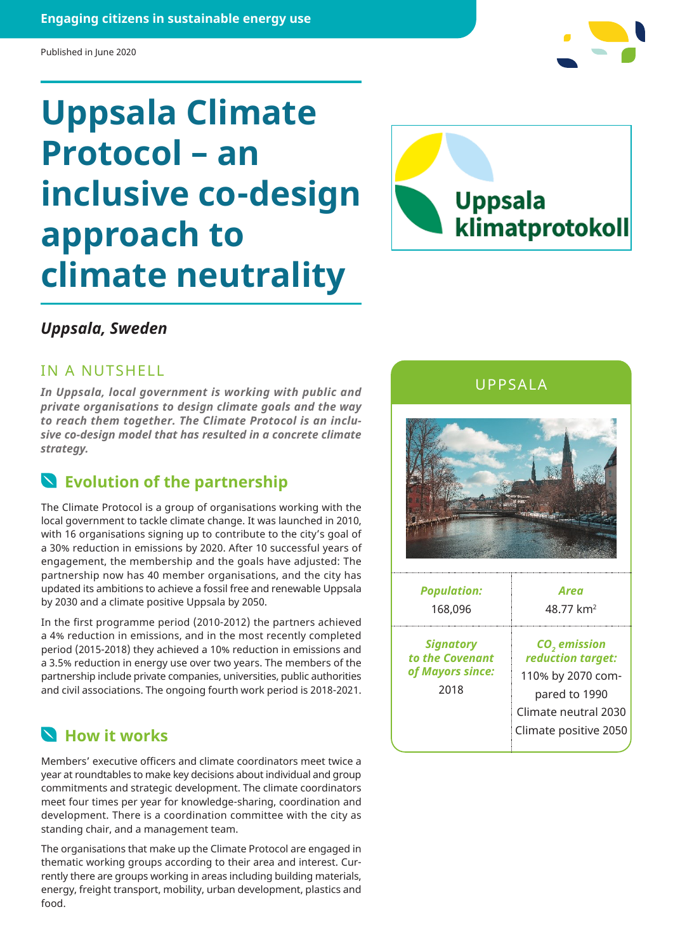Published in June 2020

# **Uppsala Climate Protocol – an inclusive co-design approach to climate neutrality**



#### *Uppsala, Sweden*

IN A NUTSHELL

*In Uppsala, local government is working with public and private organisations to design climate goals and the way to reach them together. The Climate Protocol is an inclusive co-design model that has resulted in a concrete climate strategy.*

#### **Evolution of the partnership**

The Climate Protocol is a group of organisations working with the local government to tackle climate change. It was launched in 2010, with 16 organisations signing up to contribute to the city's goal of a 30% reduction in emissions by 2020. After 10 successful years of engagement, the membership and the goals have adjusted: The partnership now has 40 member organisations, and the city has updated its ambitions to achieve a fossil free and renewable Uppsala by 2030 and a climate positive Uppsala by 2050.

In the first programme period (2010-2012) the partners achieved a 4% reduction in emissions, and in the most recently completed period (2015-2018) they achieved a 10% reduction in emissions and a 3.5% reduction in energy use over two years. The members of the partnership include private companies, universities, public authorities and civil associations. The ongoing fourth work period is 2018-2021.

### **How it works**

Members' executive officers and climate coordinators meet twice a year at roundtables to make key decisions about individual and group commitments and strategic development. The climate coordinators meet four times per year for knowledge-sharing, coordination and development. There is a coordination committee with the city as standing chair, and a management team.

The organisations that make up the Climate Protocol are engaged in thematic working groups according to their area and interest. Currently there are groups working in areas including building materials, energy, freight transport, mobility, urban development, plastics and food.

UPPSALA



| <b>Population:</b>                                              | Area                                                                                                                                 |
|-----------------------------------------------------------------|--------------------------------------------------------------------------------------------------------------------------------------|
| 168,096                                                         | 48.77 km <sup>2</sup>                                                                                                                |
| <b>Signatory</b><br>to the Covenant<br>of Mayors since:<br>2018 | CO <sub>2</sub> emission<br>reduction target:<br>110% by 2070 com-<br>pared to 1990<br>Climate neutral 2030<br>Climate positive 2050 |